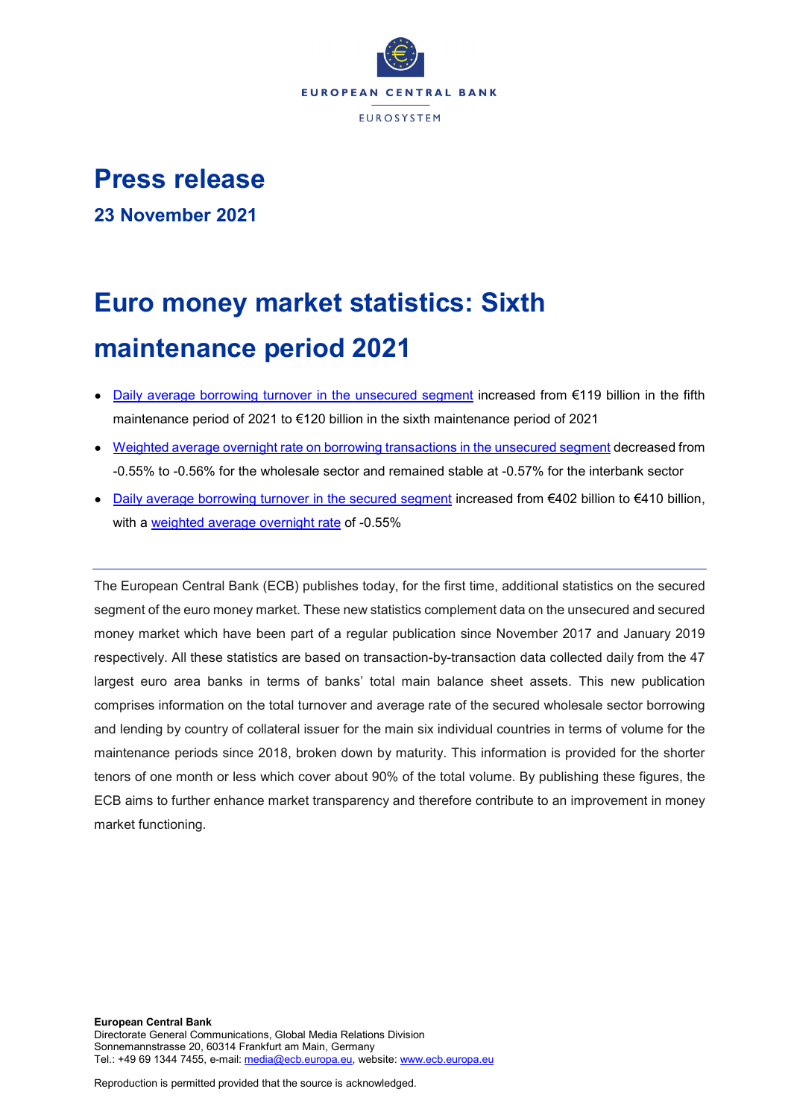

## **Press release**

**23 November 2021**

# **Euro money market statistics: Sixth maintenance period 2021**

- [Daily average borrowing turnover in the unsecured segment](https://sdw.ecb.europa.eu/browseSelection.do?type=series&q=MMSR.B.U2._X._Z.S1ZV._Z.U.BO.AT._X.AA._Z._Z.EUR._Z&node=SEARCHRESULTS) increased from €119 billion in the fifth maintenance period of 2021 to €120 billion in the sixth maintenance period of 2021
- [Weighted average overnight rate on borrowing transactions in the unsecured segment](https://sdw.ecb.europa.eu/browseSelection.do?type=series&q=MMSR.B.U2._X._Z.%3f._Z.U.BO.WR._X.MA._Z._Z.EUR._Z&node=SEARCHRESULTS) decreased from -0.55% to -0.56% for the wholesale sector and remained stable at -0.57% for the interbank sector
- [Daily average borrowing turnover in the secured segment](https://sdw.ecb.europa.eu/browseSelection.do?type=series&q=MMSR.B.U2._X._Z.S1ZV._Z.T.BO.AT._X.AA._Z._Z.EUR._Z&node=SEARCHRESULTS) increased from €402 billion to €410 billion, with a [weighted average overnight rate](https://sdw.ecb.europa.eu/browseSelection.do?type=series&q=MMSR.B.U2._X._Z.S1ZV._Z.T.BO.WR._X.MA._Z._Z.EUR._Z&node=SEARCHRESULTS) of -0.55%

The European Central Bank (ECB) publishes today, for the first time, additional statistics on the secured segment of the euro money market. These new statistics complement data on the unsecured and secured money market which have been part of a regular publication since November 2017 and January 2019 respectively. All these statistics are based on transaction-by-transaction data collected daily from the 47 largest euro area banks in terms of banks' total main balance sheet assets. This new publication comprises information on the total turnover and average rate of the secured wholesale sector borrowing and lending by country of collateral issuer for the main six individual countries in terms of volume for the maintenance periods since 2018, broken down by maturity. This information is provided for the shorter tenors of one month or less which cover about 90% of the total volume. By publishing these figures, the ECB aims to further enhance market transparency and therefore contribute to an improvement in money market functioning.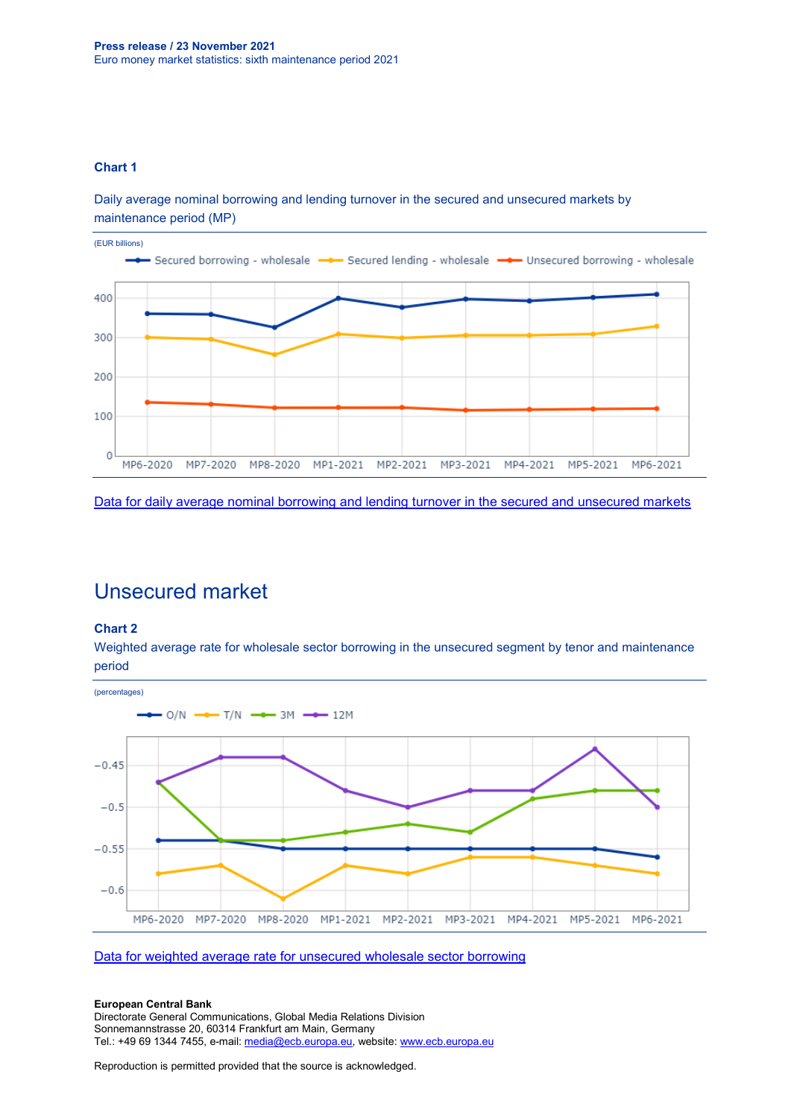#### **Chart 1**

Daily average nominal borrowing and lending turnover in the secured and unsecured markets by maintenance period (MP)



[Data for daily average nominal borrowing and lending turnover in the secured and unsecured markets](https://sdw.ecb.europa.eu/browseSelection.do?type=series&q=MMSR.B.U2._X._Z.S1ZV._Z.%3f.%3f.AT._X.AA._Z._Z.EUR._Z&node=SEARCHRESULTS)

### Unsecured market

#### **Chart 2**

Weighted average rate for wholesale sector borrowing in the unsecured segment by tenor and maintenance period



[Data for weighted average rate for unsecured wholesale sector borrowing](https://sdw.ecb.europa.eu/browseSelection.do?type=series&q=MMSR.B.U2._X._Z.S1ZV._Z.U.BO.WR._X.%3f._Z._Z.EUR._Z&node=SEARCHRESULTS)

#### **European Central Bank**

Directorate General Communications, Global Media Relations Division Sonnemannstrasse 20, 60314 Frankfurt am Main, Germany Tel.: +49 69 1344 7455, e-mail: [media@ecb.europa.eu,](mailto:media@ecb.europa.eu) website[: www.ecb.europa.eu](http://www.ecb.europa.eu/)

Reproduction is permitted provided that the source is acknowledged.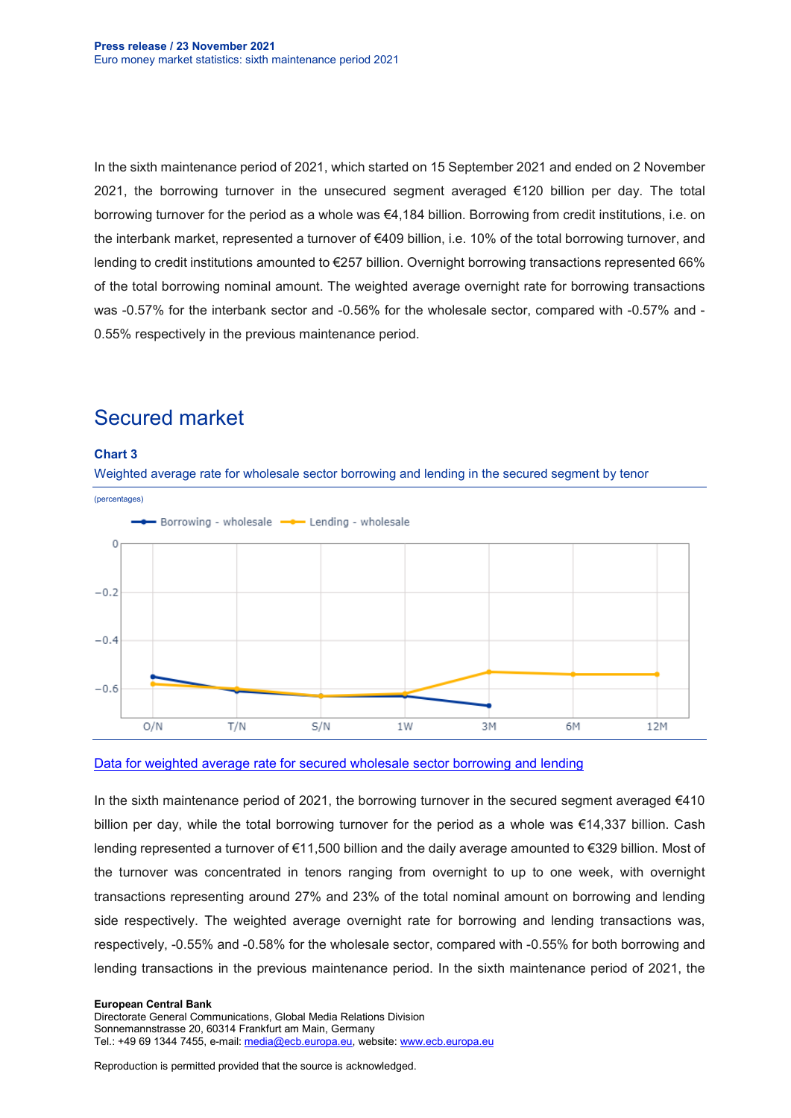In the sixth maintenance period of 2021, which started on 15 September 2021 and ended on 2 November 2021, the borrowing turnover in the unsecured segment averaged €120 billion per day. The total borrowing turnover for the period as a whole was €4,184 billion. Borrowing from credit institutions, i.e. on the interbank market, represented a turnover of €409 billion, i.e. 10% of the total borrowing turnover, and lending to credit institutions amounted to €257 billion. Overnight borrowing transactions represented 66% of the total borrowing nominal amount. The weighted average overnight rate for borrowing transactions was -0.57% for the interbank sector and -0.56% for the wholesale sector, compared with -0.57% and - 0.55% respectively in the previous maintenance period.



## Secured market

[Data for weighted average rate for secured wholesale sector borrowing and lending](https://sdw.ecb.europa.eu/browseSelection.do?type=series&q=MMSR.B.U2._X._Z.S1ZV._Z.T.?.WR._X.%3f._Z._Z.EUR._Z&node=SEARCHRESULTS)

In the sixth maintenance period of 2021, the borrowing turnover in the secured segment averaged €410 billion per day, while the total borrowing turnover for the period as a whole was €14,337 billion. Cash lending represented a turnover of €11,500 billion and the daily average amounted to €329 billion. Most of the turnover was concentrated in tenors ranging from overnight to up to one week, with overnight transactions representing around 27% and 23% of the total nominal amount on borrowing and lending side respectively. The weighted average overnight rate for borrowing and lending transactions was, respectively, -0.55% and -0.58% for the wholesale sector, compared with -0.55% for both borrowing and lending transactions in the previous maintenance period. In the sixth maintenance period of 2021, the

#### **European Central Bank**

Directorate General Communications, Global Media Relations Division Sonnemannstrasse 20, 60314 Frankfurt am Main, Germany Tel.: +49 69 1344 7455, e-mail: [media@ecb.europa.eu,](mailto:media@ecb.europa.eu) website[: www.ecb.europa.eu](http://www.ecb.europa.eu/)

Reproduction is permitted provided that the source is acknowledged.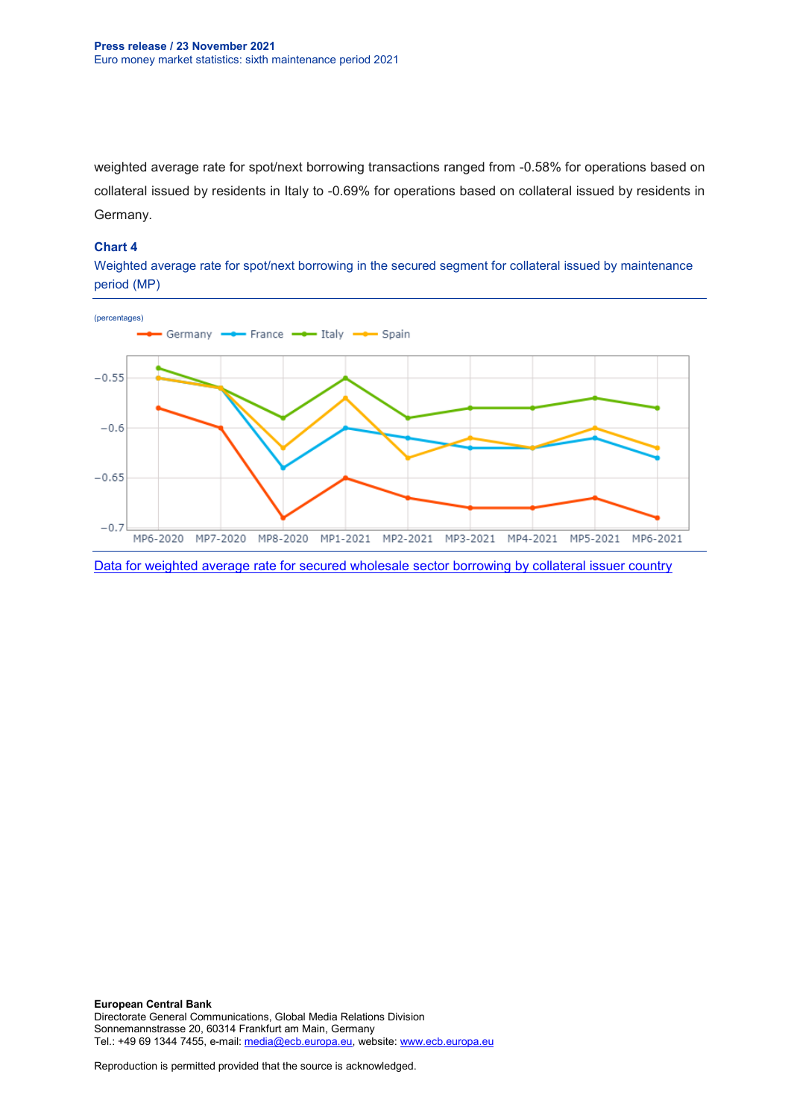weighted average rate for spot/next borrowing transactions ranged from -0.58% for operations based on collateral issued by residents in Italy to -0.69% for operations based on collateral issued by residents in Germany.

#### **Chart 4**

Weighted average rate for spot/next borrowing in the secured segment for collateral issued by maintenance period (MP)

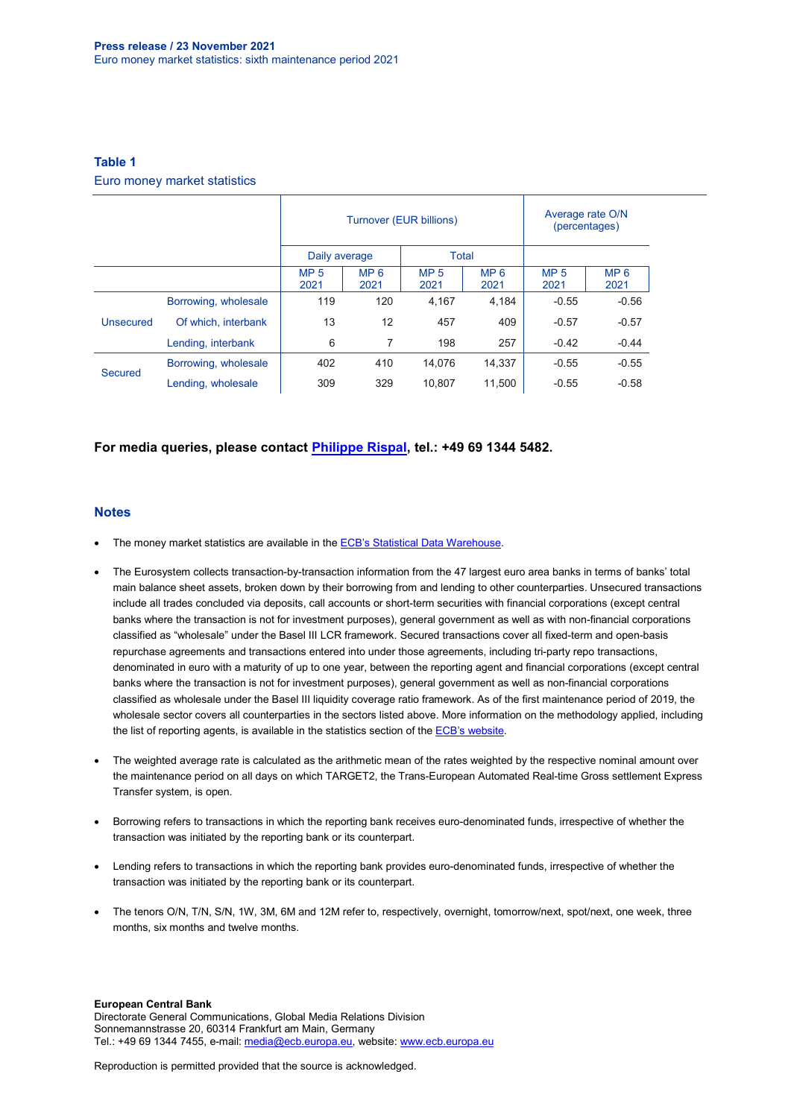#### **Table 1**

Euro money market statistics

|           |                      | Turnover (EUR billions) |                         |                         | Average rate O/N<br>(percentages) |                         |                         |
|-----------|----------------------|-------------------------|-------------------------|-------------------------|-----------------------------------|-------------------------|-------------------------|
|           |                      | Daily average           |                         | Total                   |                                   |                         |                         |
|           |                      | MP <sub>5</sub><br>2021 | MP <sub>6</sub><br>2021 | MP <sub>5</sub><br>2021 | MP <sub>6</sub><br>2021           | MP <sub>5</sub><br>2021 | MP <sub>6</sub><br>2021 |
| Unsecured | Borrowing, wholesale | 119                     | 120                     | 4.167                   | 4.184                             | $-0.55$                 | $-0.56$                 |
|           | Of which, interbank  | 13                      | 12                      | 457                     | 409                               | $-0.57$                 | $-0.57$                 |
|           | Lending, interbank   | 6                       | 7                       | 198                     | 257                               | $-0.42$                 | $-0.44$                 |
| Secured   | Borrowing, wholesale | 402                     | 410                     | 14.076                  | 14,337                            | $-0.55$                 | $-0.55$                 |
|           | Lending, wholesale   | 309                     | 329                     | 10.807                  | 11.500                            | $-0.55$                 | $-0.58$                 |

#### **For media queries, please contact [Philippe Rispal,](mailto:philippe.rispal@ecb.europa.eu) tel.: +49 69 1344 5482.**

#### **Notes**

- The money market statistics are available in the **ECB's Statistical Data Warehouse**.
- The Eurosystem collects transaction-by-transaction information from the 47 largest euro area banks in terms of banks' total main balance sheet assets, broken down by their borrowing from and lending to other counterparties. Unsecured transactions include all trades concluded via deposits, call accounts or short-term securities with financial corporations (except central banks where the transaction is not for investment purposes), general government as well as with non-financial corporations classified as "wholesale" under the Basel III LCR framework. Secured transactions cover all fixed-term and open-basis repurchase agreements and transactions entered into under those agreements, including tri-party repo transactions, denominated in euro with a maturity of up to one year, between the reporting agent and financial corporations (except central banks where the transaction is not for investment purposes), general government as well as non-financial corporations classified as wholesale under the Basel III liquidity coverage ratio framework. As of the first maintenance period of 2019, the wholesale sector covers all counterparties in the sectors listed above. More information on the methodology applied, including the list of reporting agents, is available in the statistics section of the [ECB's website.](https://www.ecb.europa.eu/stats/financial_markets_and_interest_rates/money_market/html/index.en.html)
- The weighted average rate is calculated as the arithmetic mean of the rates weighted by the respective nominal amount over the maintenance period on all days on which TARGET2, the Trans-European Automated Real-time Gross settlement Express Transfer system, is open.
- Borrowing refers to transactions in which the reporting bank receives euro-denominated funds, irrespective of whether the transaction was initiated by the reporting bank or its counterpart.
- Lending refers to transactions in which the reporting bank provides euro-denominated funds, irrespective of whether the transaction was initiated by the reporting bank or its counterpart.
- The tenors O/N, T/N, S/N, 1W, 3M, 6M and 12M refer to, respectively, overnight, tomorrow/next, spot/next, one week, three months, six months and twelve months.

#### **European Central Bank**

Directorate General Communications, Global Media Relations Division Sonnemannstrasse 20, 60314 Frankfurt am Main, Germany Tel.: +49 69 1344 7455, e-mail: [media@ecb.europa.eu,](mailto:media@ecb.europa.eu) website[: www.ecb.europa.eu](http://www.ecb.europa.eu/)

Reproduction is permitted provided that the source is acknowledged.